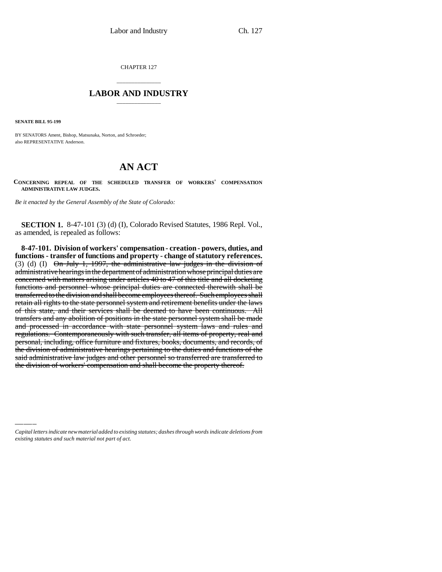CHAPTER 127

## \_\_\_\_\_\_\_\_\_\_\_\_\_\_\_ **LABOR AND INDUSTRY** \_\_\_\_\_\_\_\_\_\_\_\_\_\_\_

**SENATE BILL 95-199**

BY SENATORS Ament, Bishop, Matsunaka, Norton, and Schroeder; also REPRESENTATIVE Anderson.

## **AN ACT**

**CONCERNING REPEAL OF THE SCHEDULED TRANSFER OF WORKERS' COMPENSATION ADMINISTRATIVE LAW JUDGES.**

*Be it enacted by the General Assembly of the State of Colorado:*

**SECTION 1.** 8-47-101 (3) (d) (I), Colorado Revised Statutes, 1986 Repl. Vol., as amended, is repealed as follows:

the division of workers' compensation and shall become the property thereof.<br> **8-47-101. Division of workers' compensation - creation - powers, duties, and functions - transfer of functions and property - change of statutory references.** (3) (d) (I)  $\Theta$ n July 1, 1997, the administrative law judges in the division of administrative hearings in the department of administration whose principal duties are concerned with matters arising under articles 40 to 47 of this title and all docketing functions and personnel whose principal duties are connected therewith shall be transferred to the division and shall become employees thereof. Such employees shall retain all rights to the state personnel system and retirement benefits under the laws of this state, and their services shall be deemed to have been continuous. All transfers and any abolition of positions in the state personnel system shall be made and processed in accordance with state personnel system laws and rules and regulations. Contemporaneously with such transfer, all items of property, real and personal, including, office furniture and fixtures, books, documents, and records, of the division of administrative hearings pertaining to the duties and functions of the said administrative law judges and other personnel so transferred are transferred to

*Capital letters indicate new material added to existing statutes; dashes through words indicate deletions from existing statutes and such material not part of act.*